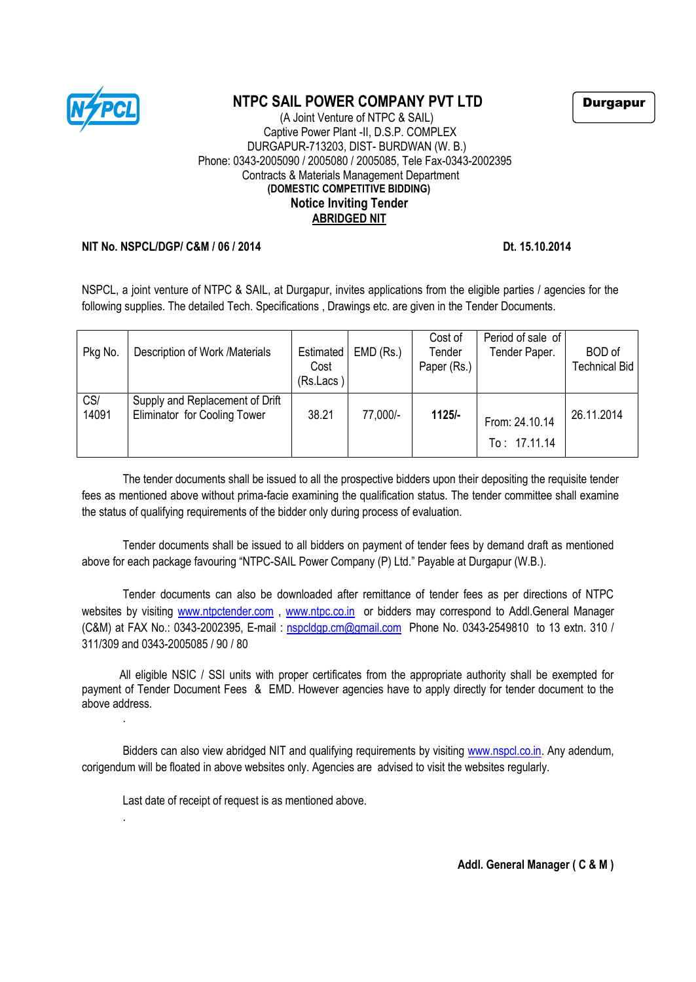

# **NTPC SAIL POWER COMPANY PVT LTD**

#### (A Joint Venture of NTPC & SAIL) Captive Power Plant -II, D.S.P. COMPLEX DURGAPUR-713203, DIST- BURDWAN (W. B.) Phone: 0343-2005090 / 2005080 / 2005085, Tele Fax-0343-2002395 Contracts & Materials Management Department **(DOMESTIC COMPETITIVE BIDDING) Notice Inviting Tender ABRIDGED NIT**

#### **NIT No. NSPCL/DGP/ C&M / 06 / 2014** Dt. 15.10.2014

NSPCL, a joint venture of NTPC & SAIL, at Durgapur, invites applications from the eligible parties / agencies for the following supplies. The detailed Tech. Specifications, Drawings etc. are given in the Tender Documents.

| Pkg No.      | Description of Work /Materials                                  | Estimated<br>Cost<br>(Rs.Lacs) | $EMD$ (Rs.) | Cost of<br>Tender<br>Paper (Rs.) | Period of sale of<br>Tender Paper. | <b>BOD</b> of<br>Technical Bid |
|--------------|-----------------------------------------------------------------|--------------------------------|-------------|----------------------------------|------------------------------------|--------------------------------|
| CS/<br>14091 | Supply and Replacement of Drift<br>Eliminator for Cooling Tower | 38.21                          | 77,000/-    | $1125/-$                         | From: 24.10.14<br>To: 17.11.14     | 26.11.2014                     |

The tender documents shall be issued to all the prospective bidders upon their depositing the requisite tender fees as mentioned above without prima-facie examining the qualification status. The tender committee shall examine the status of qualifying requirements of the bidder only during process of evaluation.

Tender documents shall be issued to all bidders on payment of tender fees by demand draft as mentioned above for each package favouring "NTPC-SAIL Power Company (P) Ltd." Payable at Durgapur (W.B.).

Tender documents can also be downloaded after remittance of tender fees as per directions of NTPC websites by visiting [www.ntpctender.com](http://www.ntpctender.com/), [www.ntpc.co.in](http://www.ntpc.co.in/) or bidders may correspond to Addl.General Manager (C&M) at FAX No.: 0343-2002395, E-mail : [nspcldgp.cm@gmail.com](mailto:nspcldgp.cm@gmail.com) Phone No. 0343-2549810 to 13 extn. 310 / 311/309 and 0343-2005085 / 90 / 80

 All eligible NSIC / SSI units with proper certificates from the appropriate authority shall be exempted for payment of Tender Document Fees & EMD. However agencies have to apply directly for tender document to the above address. .

Bidders can also view abridged NIT and qualifying requirements by visiting [www.nspcl.co.in.](http://www.nspcl.co.in/) Any adendum, corigendum will be floated in above websites only. Agencies are advised to visit the websites regularly.

Last date of receipt of request is as mentioned above.

.

Durgapur